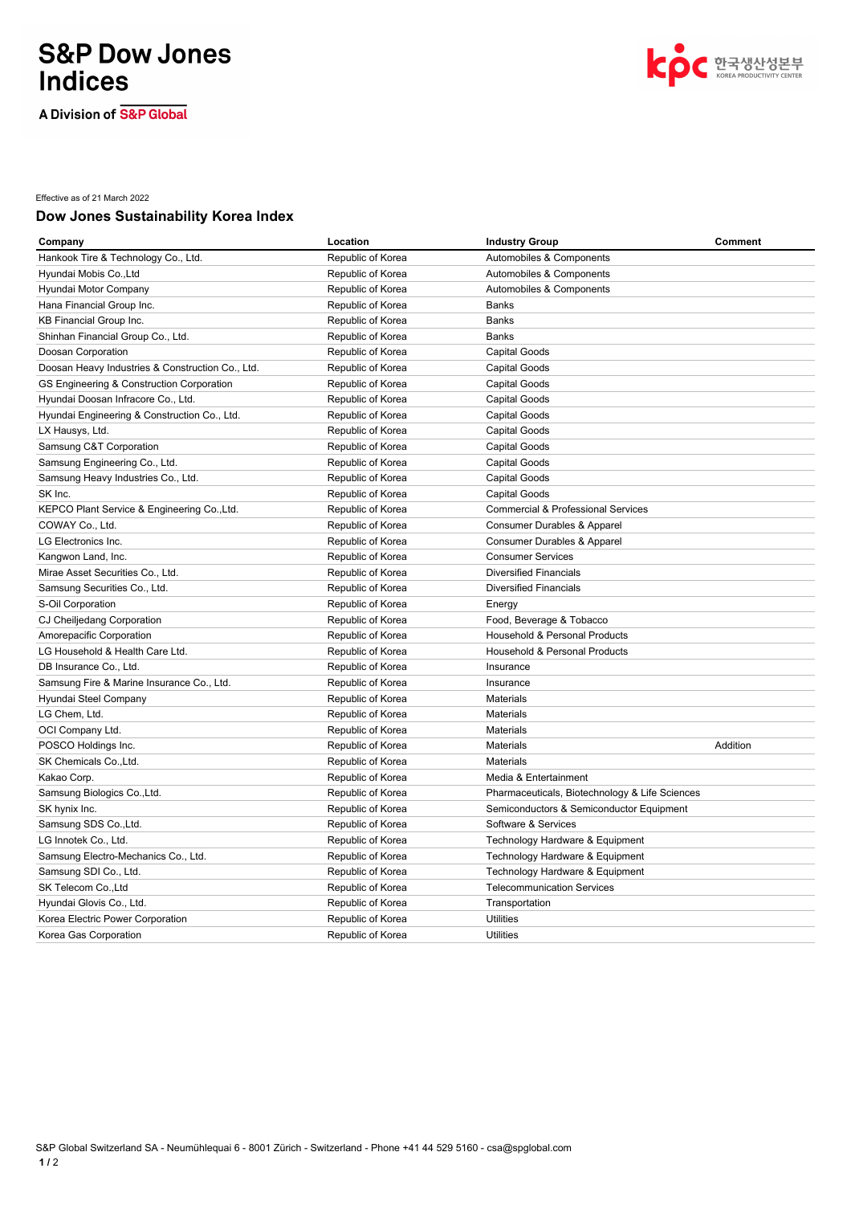# **S&P Dow Jones Indices**

A Division of S&P Global



Effective as of 21 March 2022

### **Dow Jones Sustainability Korea Index**

| Company                                          | Location          | <b>Industry Group</b>                          | <b>Comment</b> |
|--------------------------------------------------|-------------------|------------------------------------------------|----------------|
| Hankook Tire & Technology Co., Ltd.              | Republic of Korea | Automobiles & Components                       |                |
| Hyundai Mobis Co., Ltd                           | Republic of Korea | Automobiles & Components                       |                |
| Hyundai Motor Company                            | Republic of Korea | Automobiles & Components                       |                |
| Hana Financial Group Inc.                        | Republic of Korea | Banks                                          |                |
| <b>KB Financial Group Inc.</b>                   | Republic of Korea | Banks                                          |                |
| Shinhan Financial Group Co., Ltd.                | Republic of Korea | <b>Banks</b>                                   |                |
| Doosan Corporation                               | Republic of Korea | <b>Capital Goods</b>                           |                |
| Doosan Heavy Industries & Construction Co., Ltd. | Republic of Korea | Capital Goods                                  |                |
| GS Engineering & Construction Corporation        | Republic of Korea | <b>Capital Goods</b>                           |                |
| Hyundai Doosan Infracore Co., Ltd.               | Republic of Korea | Capital Goods                                  |                |
| Hyundai Engineering & Construction Co., Ltd.     | Republic of Korea | <b>Capital Goods</b>                           |                |
| LX Hausys, Ltd.                                  | Republic of Korea | <b>Capital Goods</b>                           |                |
| Samsung C&T Corporation                          | Republic of Korea | Capital Goods                                  |                |
| Samsung Engineering Co., Ltd.                    | Republic of Korea | <b>Capital Goods</b>                           |                |
| Samsung Heavy Industries Co., Ltd.               | Republic of Korea | <b>Capital Goods</b>                           |                |
| SK Inc.                                          | Republic of Korea | <b>Capital Goods</b>                           |                |
| KEPCO Plant Service & Engineering Co., Ltd.      | Republic of Korea | <b>Commercial &amp; Professional Services</b>  |                |
| COWAY Co., Ltd.                                  | Republic of Korea | Consumer Durables & Apparel                    |                |
| LG Electronics Inc.                              | Republic of Korea | Consumer Durables & Apparel                    |                |
| Kangwon Land, Inc.                               | Republic of Korea | <b>Consumer Services</b>                       |                |
| Mirae Asset Securities Co., Ltd.                 | Republic of Korea | <b>Diversified Financials</b>                  |                |
| Samsung Securities Co., Ltd.                     | Republic of Korea | <b>Diversified Financials</b>                  |                |
| S-Oil Corporation                                | Republic of Korea | Energy                                         |                |
| CJ Cheiljedang Corporation                       | Republic of Korea | Food, Beverage & Tobacco                       |                |
| Amorepacific Corporation                         | Republic of Korea | Household & Personal Products                  |                |
| LG Household & Health Care Ltd.                  | Republic of Korea | Household & Personal Products                  |                |
| DB Insurance Co., Ltd.                           | Republic of Korea | Insurance                                      |                |
| Samsung Fire & Marine Insurance Co., Ltd.        | Republic of Korea | Insurance                                      |                |
| Hyundai Steel Company                            | Republic of Korea | Materials                                      |                |
| LG Chem, Ltd.                                    | Republic of Korea | Materials                                      |                |
| OCI Company Ltd.                                 | Republic of Korea | Materials                                      |                |
| POSCO Holdings Inc.                              | Republic of Korea | Materials                                      | Addition       |
| SK Chemicals Co., Ltd.                           | Republic of Korea | Materials                                      |                |
| Kakao Corp.                                      | Republic of Korea | Media & Entertainment                          |                |
| Samsung Biologics Co., Ltd.                      | Republic of Korea | Pharmaceuticals, Biotechnology & Life Sciences |                |
| SK hynix Inc.                                    | Republic of Korea | Semiconductors & Semiconductor Equipment       |                |
| Samsung SDS Co., Ltd.                            | Republic of Korea | Software & Services                            |                |
| LG Innotek Co., Ltd.                             | Republic of Korea | Technology Hardware & Equipment                |                |
| Samsung Electro-Mechanics Co., Ltd.              | Republic of Korea | Technology Hardware & Equipment                |                |
| Samsung SDI Co., Ltd.                            | Republic of Korea | Technology Hardware & Equipment                |                |
| SK Telecom Co., Ltd                              | Republic of Korea | <b>Telecommunication Services</b>              |                |
| Hyundai Glovis Co., Ltd.                         | Republic of Korea | Transportation                                 |                |
| Korea Electric Power Corporation                 | Republic of Korea | <b>Utilities</b>                               |                |
| Korea Gas Corporation                            | Republic of Korea | <b>Utilities</b>                               |                |
|                                                  |                   |                                                |                |